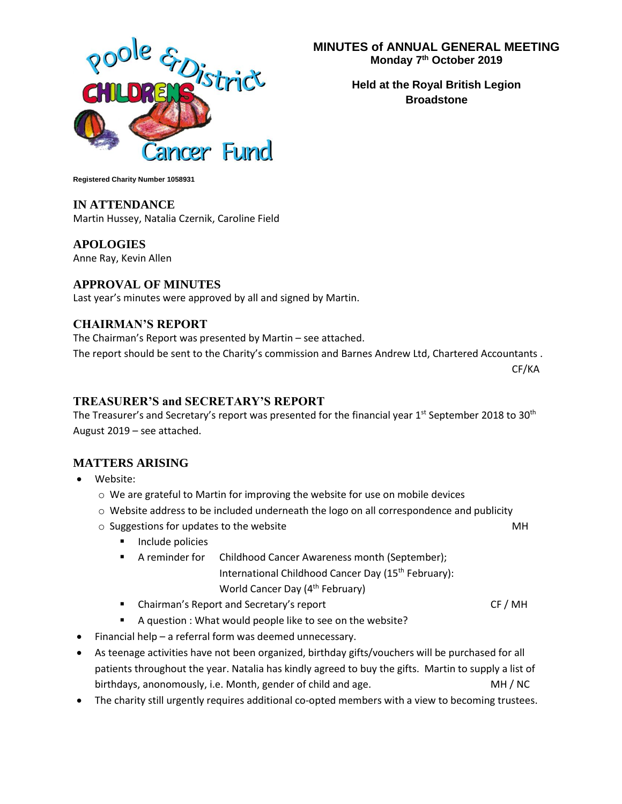

**MINUTES of ANNUAL GENERAL MEETING Monday 7 th October 2019**

> **Held at the Royal British Legion Broadstone**

**Registered Charity Number 1058931**

### **IN ATTENDANCE**

Martin Hussey, Natalia Czernik, Caroline Field

**APOLOGIES** Anne Ray, Kevin Allen

### **APPROVAL OF MINUTES**

Last year's minutes were approved by all and signed by Martin.

### **CHAIRMAN'S REPORT**

The Chairman's Report was presented by Martin – see attached. The report should be sent to the Charity's commission and Barnes Andrew Ltd, Chartered Accountants .

CF/KA

### **TREASURER'S and SECRETARY'S REPORT**

The Treasurer's and Secretary's report was presented for the financial year 1<sup>st</sup> September 2018 to 30<sup>th</sup> August 2019 – see attached.

### **MATTERS ARISING**

- Website:
	- o We are grateful to Martin for improving the website for use on mobile devices
	- o Website address to be included underneath the logo on all correspondence and publicity
	- $\circ$  Suggestions for updates to the website  $\bullet$  MH
		- Include policies
		- A reminder for Childhood Cancer Awareness month (September); International Childhood Cancer Day (15<sup>th</sup> February): World Cancer Day (4<sup>th</sup> February)
		- **Example 2** Chairman's Report and Secretary's report CF / MH
		- A question : What would people like to see on the website?
- Financial help a referral form was deemed unnecessary.
- As teenage activities have not been organized, birthday gifts/vouchers will be purchased for all patients throughout the year. Natalia has kindly agreed to buy the gifts. Martin to supply a list of birthdays, anonomously, i.e. Month, gender of child and age. MH / MC
- The charity still urgently requires additional co-opted members with a view to becoming trustees.